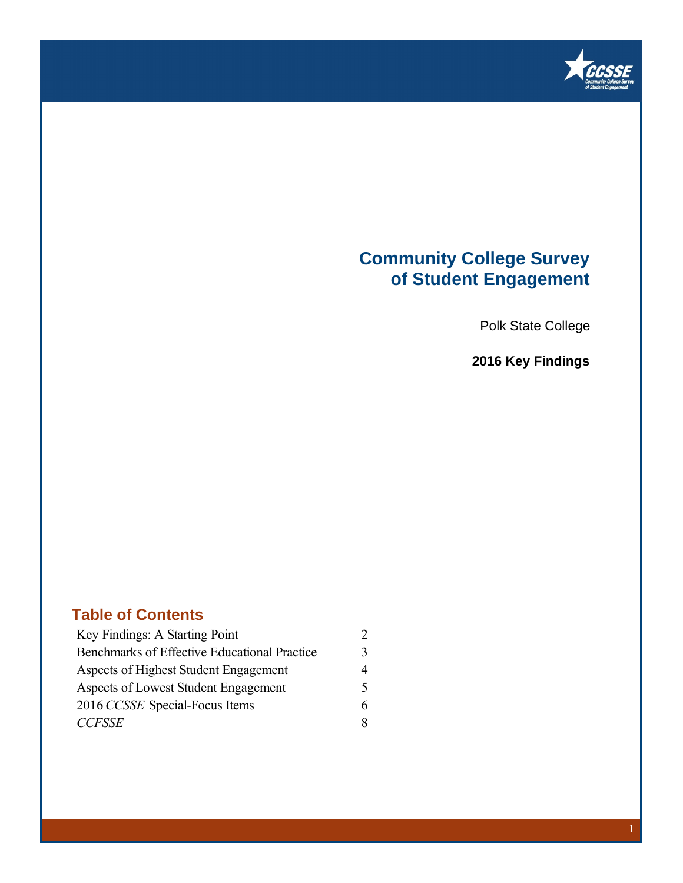

### **Community College Survey of Student Engagement**

Polk State College

**2016 Key Findings**

### **Table of Contents**

| Key Findings: A Starting Point               |   |
|----------------------------------------------|---|
| Benchmarks of Effective Educational Practice | 3 |
| Aspects of Highest Student Engagement        | 4 |
| Aspects of Lowest Student Engagement         | 5 |
| 2016 CCSSE Special-Focus Items               | 6 |
| <b>CCFSSE</b>                                | 8 |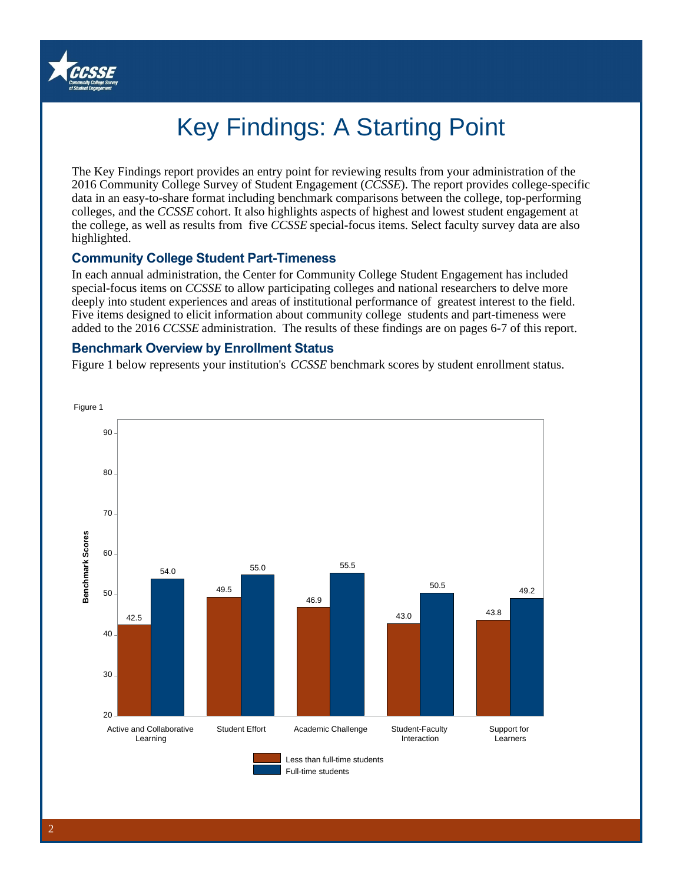

# Key Findings: A Starting Point

The Key Findings report provides an entry point for reviewing results from your administration of the 2016 Community College Survey of Student Engagement (*CCSSE*). The report provides college-specific data in an easy-to-share format including benchmark comparisons between the college, top-performing colleges, and the *CCSSE* cohort. It also highlights aspects of highest and lowest student engagement at the college, as well as results from five *CCSSE* special-focus items. Select faculty survey data are also highlighted.

#### **Community College Student Part-Timeness**

In each annual administration, the Center for Community College Student Engagement has included special-focus items on *CCSSE* to allow participating colleges and national researchers to delve more deeply into student experiences and areas of institutional performance of greatest interest to the field. Five items designed to elicit information about community college students and part-timeness were added to the 2016 *CCSSE* administration. The results of these findings are on pages 6-7 of this report.

#### **Benchmark Overview by Enrollment Status**

Figure 1 below represents your institution's *CCSSE* benchmark scores by student enrollment status.

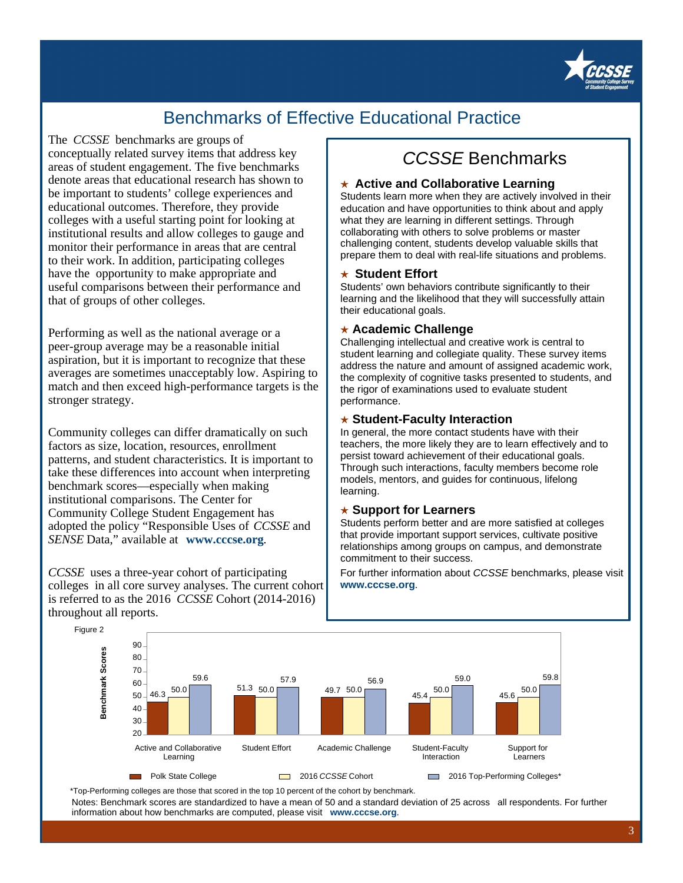

### Benchmarks of Effective Educational Practice

The *CCSSE* benchmarks are groups of conceptually related survey items that address key areas of student engagement. The five benchmarks denote areas that educational research has shown to be important to students' college experiences and educational outcomes. Therefore, they provide colleges with a useful starting point for looking at institutional results and allow colleges to gauge and monitor their performance in areas that are central to their work. In addition, participating colleges have the opportunity to make appropriate and useful comparisons between their performance and that of groups of other colleges.

Performing as well as the national average or a peer-group average may be a reasonable initial aspiration, but it is important to recognize that these averages are sometimes unacceptably low. Aspiring to match and then exceed high-performance targets is the stronger strategy.

Community colleges can differ dramatically on such factors as size, location, resources, enrollment patterns, and student characteristics. It is important to take these differences into account when interpreting benchmark scores—especially when making institutional comparisons. The Center for Community College Student Engagement has adopted the policy "Responsible Uses of *CCSSE* and *SENSE* Data," available at **www.cccse.org**.

*CCSSE* uses a three-year cohort of participating colleges in all core survey analyses. The current cohort is referred to as the 2016 *CCSSE* Cohort (2014-2016) throughout all reports.

### CCSSE Benchmarks

#### ★ **Active and Collaborative Learning**

Students learn more when they are actively involved in their education and have opportunities to think about and apply what they are learning in different settings. Through collaborating with others to solve problems or master challenging content, students develop valuable skills that prepare them to deal with real-life situations and problems.

#### ★ **Student Effort**

Students' own behaviors contribute significantly to their learning and the likelihood that they will successfully attain their educational goals.

#### ★ **Academic Challenge**

Challenging intellectual and creative work is central to student learning and collegiate quality. These survey items address the nature and amount of assigned academic work, the complexity of cognitive tasks presented to students, and the rigor of examinations used to evaluate student performance.

#### ★ **Student-Faculty Interaction**

In general, the more contact students have with their teachers, the more likely they are to learn effectively and to persist toward achievement of their educational goals. Through such interactions, faculty members become role models, mentors, and guides for continuous, lifelong learning.

#### ★ **Support for Learners**

Students perform better and are more satisfied at colleges that provide important support services, cultivate positive relationships among groups on campus, and demonstrate commitment to their success.

For further information about CCSSE benchmarks, please visit **www.cccse.org**.



\*Top-Performing colleges are those that scored in the top 10 percent of the cohort by benchmark.

Notes: Benchmark scores are standardized to have a mean of 50 and a standard deviation of 25 across all respondents. For further information about how benchmarks are computed, please visit **www.cccse.org**.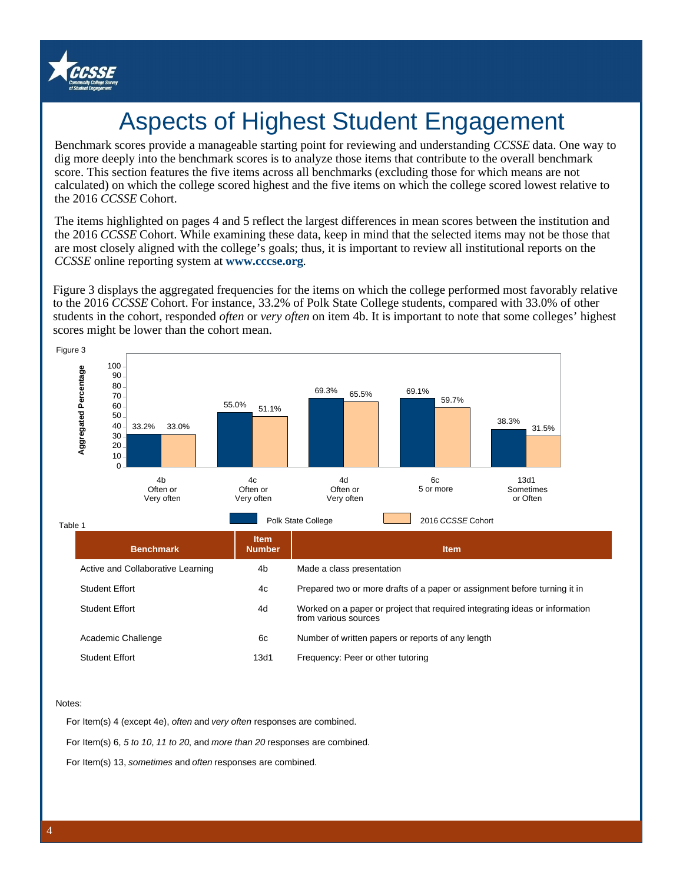

## Aspects of Highest Student Engagement

Benchmark scores provide a manageable starting point for reviewing and understanding *CCSSE* data. One way to dig more deeply into the benchmark scores is to analyze those items that contribute to the overall benchmark score. This section features the five items across all benchmarks (excluding those for which means are not calculated) on which the college scored highest and the five items on which the college scored lowest relative to the 2016 *CCSSE* Cohort.

The items highlighted on pages 4 and 5 reflect the largest differences in mean scores between the institution and the 2016 *CCSSE* Cohort. While examining these data, keep in mind that the selected items may not be those that are most closely aligned with the college's goals; thus, it is important to review all institutional reports on the *CCSSE* online reporting system at **www.cccse.org**.

Figure 3 displays the aggregated frequencies for the items on which the college performed most favorably relative to the 2016 *CCSSE* Cohort. For instance, 33.2% of Polk State College students, compared with 33.0% of other students in the cohort, responded *often* or *very often* on item 4b. It is important to note that some colleges' highest scores might be lower than the cohort mean.



#### Notes:

For Item(s) 4 (except 4e), often and very often responses are combined.

For Item(s) 6, 5 to 10, 11 to 20, and more than 20 responses are combined.

For Item(s) 13, sometimes and often responses are combined.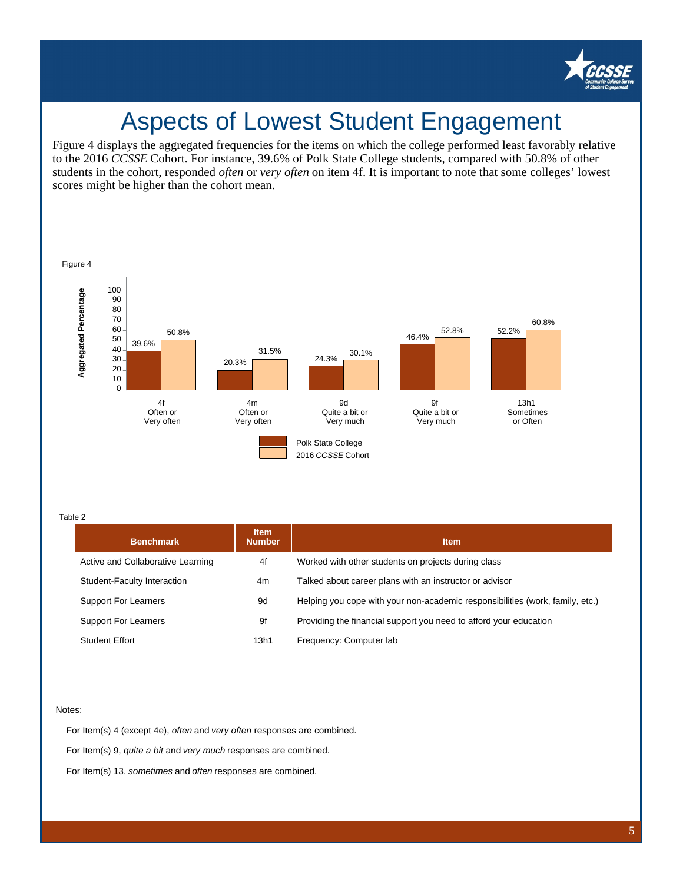

## Aspects of Lowest Student Engagement

Figure 4 displays the aggregated frequencies for the items on which the college performed least favorably relative to the 2016 *CCSSE* Cohort. For instance, 39.6% of Polk State College students, compared with 50.8% of other students in the cohort, responded *often* or *very often* on item 4f. It is important to note that some colleges' lowest scores might be higher than the cohort mean.



Table 2

| <b>Benchmark</b>                  | <b>Item</b><br><b>Number</b> | <b>Item</b>                                                                   |  |  |
|-----------------------------------|------------------------------|-------------------------------------------------------------------------------|--|--|
| Active and Collaborative Learning | 4f                           | Worked with other students on projects during class                           |  |  |
| Student-Faculty Interaction       | 4m                           | Talked about career plans with an instructor or advisor                       |  |  |
| <b>Support For Learners</b>       | 9d                           | Helping you cope with your non-academic responsibilities (work, family, etc.) |  |  |
| <b>Support For Learners</b>       | 9f                           | Providing the financial support you need to afford your education             |  |  |
| <b>Student Effort</b>             | 13h1                         | Frequency: Computer lab                                                       |  |  |

#### Notes:

For Item(s) 4 (except 4e), often and very often responses are combined.

For Item(s) 9, quite a bit and very much responses are combined.

For Item(s) 13, sometimes and often responses are combined.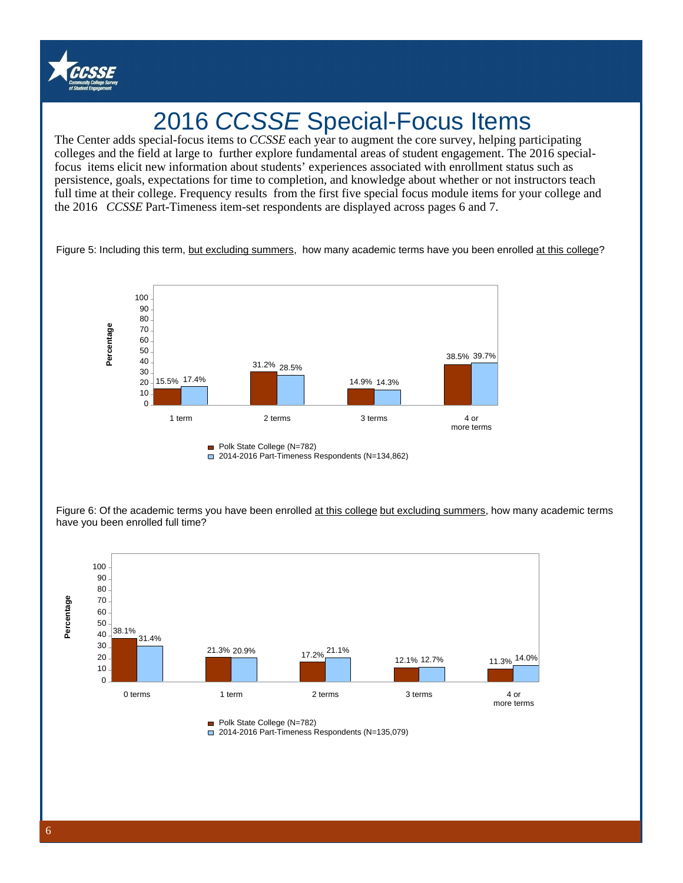

## 2016 CCSSE Special-Focus Items

'colleges and the field at large to further explore fundamental areas of student engagement. The 2016 special focus items elicit new information about students' experiences associated with enrollment status such as The Center adds special-focus items to *CCSSE* each year to augment the core survey, helping participating persistence, goals, expectations for time to completion, and knowledge about whether or not instructors teach full time at their college. Frequency results from the first five special focus module items for your college and the 2016 *CCSSE* Part-Timeness item-set respondents are displayed across pages 6 and 7.

Figure 5: Including this term, but excluding summers, how many academic terms have you been enrolled at this college?



Figure 6: Of the academic terms you have been enrolled at this college but excluding summers, how many academic terms have you been enrolled full time?



Polk State College (N=782)

2014-2016 Part-Timeness Respondents (N=135,079)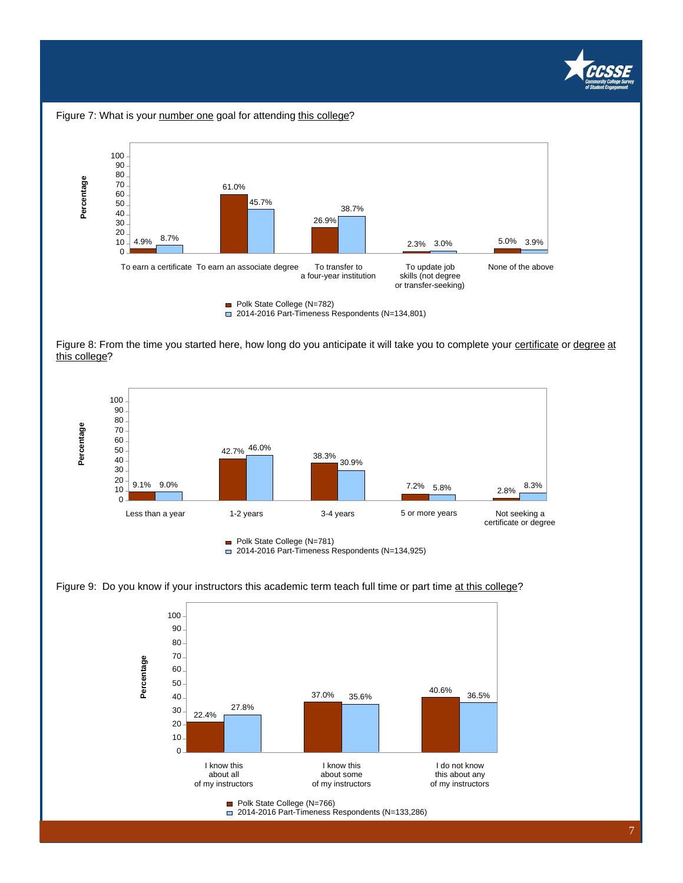





Figure 8: From the time you started here, how long do you anticipate it will take you to complete your certificate or degree at this college?